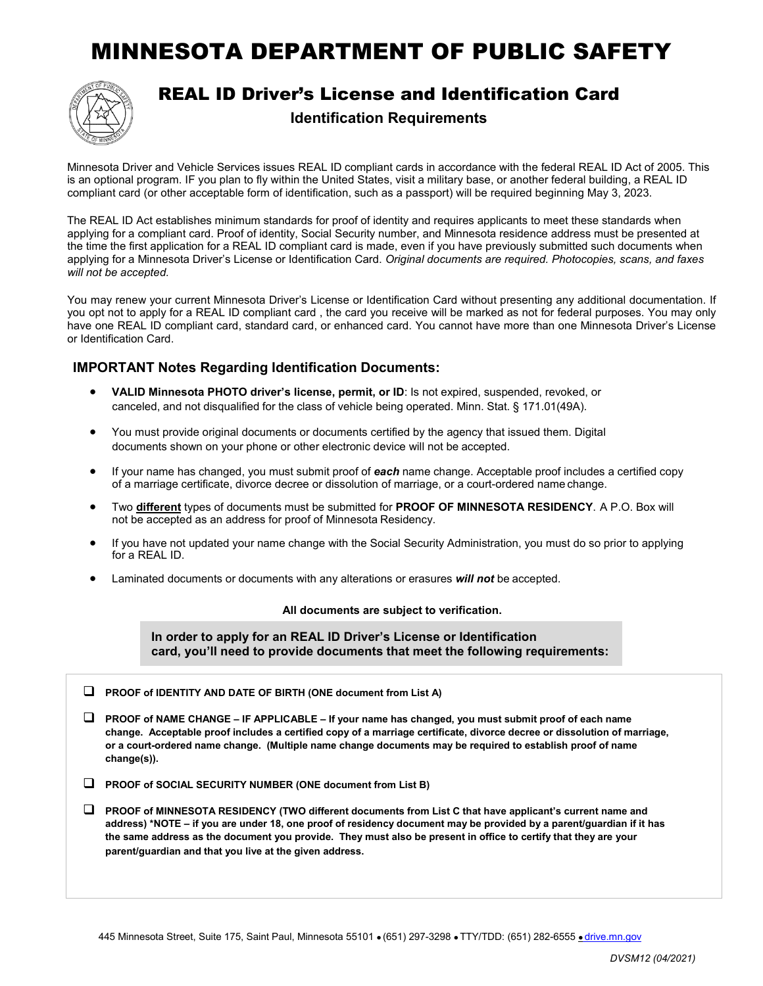## MINNESOTA DEPARTMENT OF PUBLIC SAFETY



REAL ID Driver's License and Identification Card

**Identification Requirements**

Minnesota Driver and Vehicle Services issues REAL ID compliant cards in accordance with the federal REAL ID Act of 2005. This is an optional program. IF you plan to fly within the United States, visit a military base, or another federal building, a REAL ID compliant card (or other acceptable form of identification, such as a passport) will be required beginning May 3, 2023.

The REAL ID Act establishes minimum standards for proof of identity and requires applicants to meet these standards when applying for a compliant card. Proof of identity, Social Security number, and Minnesota residence address must be presented at the time the first application for a REAL ID compliant card is made, even if you have previously submitted such documents when applying for a Minnesota Driver's License or Identification Card. *Original documents are required. Photocopies, scans, and faxes will not be accepted.*

You may renew your current Minnesota Driver's License or Identification Card without presenting any additional documentation. If you opt not to apply for a REAL ID compliant card , the card you receive will be marked as not for federal purposes. You may only have one REAL ID compliant card, standard card, or enhanced card. You cannot have more than one Minnesota Driver's License or Identification Card.

## **IMPORTANT Notes Regarding Identification Documents:**

- **VALID Minnesota PHOTO driver's license, permit, or ID**: Is not expired, suspended, revoked, or canceled, and not disqualified for the class of vehicle being operated. Minn. Stat. § 171.01(49A).
- You must provide original documents or documents certified by the agency that issued them. Digital documents shown on your phone or other electronic device will not be accepted.
- If your name has changed, you must submit proof of *each* name change. Acceptable proof includes a certified copy of a marriage certificate, divorce decree or dissolution of marriage, or a court-ordered name change.
- Two **different** types of documents must be submitted for **PROOF OF MINNESOTA RESIDENCY**. A P.O. Box will not be accepted as an address for proof of Minnesota Residency.
- If you have not updated your name change with the Social Security Administration, you must do so prior to applying for a REAL ID.
- Laminated documents or documents with any alterations or erasures *will not* be accepted.

## **All documents are subject to verification.**

**In order to apply for an REAL ID Driver's License or Identification card, you'll need to provide documents that meet the following requirements:**

**PROOF of IDENTITY AND DATE OF BIRTH (ONE document from List A)**

 **PROOF of NAME CHANGE – IF APPLICABLE – If your name has changed, you must submit proof of each name change. Acceptable proof includes a certified copy of a marriage certificate, divorce decree or dissolution of marriage, or a court-ordered name change. (Multiple name change documents may be required to establish proof of name change(s)).**

- **PROOF of SOCIAL SECURITY NUMBER (ONE document from List B)**
- **PROOF of MINNESOTA RESIDENCY (TWO different documents from List C that have applicant's current name and address) \*NOTE – if you are under 18, one proof of residency document may be provided by a parent/guardian if it has the same address as the document you provide. They must also be present in office to certify that they are your parent/guardian and that you live at the given address.**